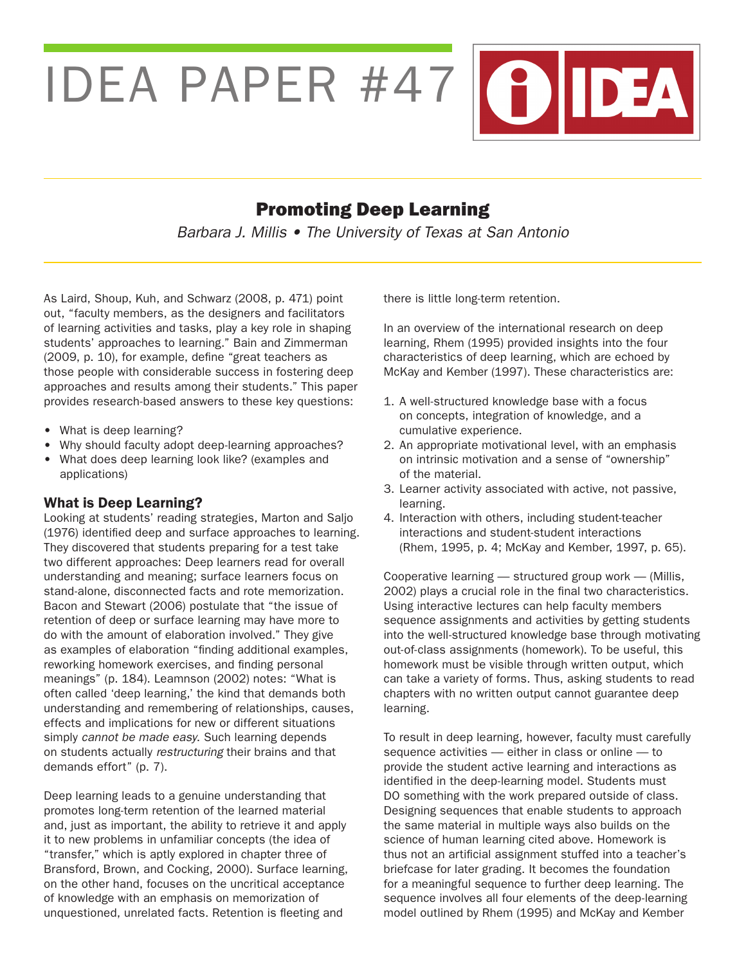IDEA PAPER #47 (?) DEA

# Promoting Deep Learning

Barbara J. Millis • The University of Texas at San Antonio

As Laird, Shoup, Kuh, and Schwarz (2008, p. 471) point out, "faculty members, as the designers and facilitators of learning activities and tasks, play a key role in shaping students' approaches to learning." Bain and Zimmerman (2009, p. 10), for example, define "great teachers as those people with considerable success in fostering deep approaches and results among their students." This paper provides research-based answers to these key questions:

- What is deep learning?
- Why should faculty adopt deep-learning approaches?
- What does deep learning look like? (examples and applications)

## What is Deep Learning?

Looking at students' reading strategies, Marton and Saljo (1976) identified deep and surface approaches to learning. They discovered that students preparing for a test take two different approaches: Deep learners read for overall understanding and meaning; surface learners focus on stand-alone, disconnected facts and rote memorization. Bacon and Stewart (2006) postulate that "the issue of retention of deep or surface learning may have more to do with the amount of elaboration involved." They give as examples of elaboration "finding additional examples, reworking homework exercises, and finding personal meanings" (p. 184). Leamnson (2002) notes: "What is often called 'deep learning,' the kind that demands both understanding and remembering of relationships, causes, effects and implications for new or different situations simply cannot be made easy. Such learning depends on students actually restructuring their brains and that demands effort" (p. 7).

Deep learning leads to a genuine understanding that promotes long-term retention of the learned material and, just as important, the ability to retrieve it and apply it to new problems in unfamiliar concepts (the idea of "transfer," which is aptly explored in chapter three of Bransford, Brown, and Cocking, 2000). Surface learning, on the other hand, focuses on the uncritical acceptance of knowledge with an emphasis on memorization of unquestioned, unrelated facts. Retention is fleeting and

there is little long-term retention.

In an overview of the international research on deep learning, Rhem (1995) provided insights into the four characteristics of deep learning, which are echoed by McKay and Kember (1997). These characteristics are:

- 1. A well-structured knowledge base with a focus on concepts, integration of knowledge, and a cumulative experience.
- 2. An appropriate motivational level, with an emphasis on intrinsic motivation and a sense of "ownership" of the material.
- 3. Learner activity associated with active, not passive, learning.
- 4. Interaction with others, including student-teacher interactions and student-student interactions (Rhem, 1995, p. 4; McKay and Kember, 1997, p. 65).

Cooperative learning — structured group work — (Millis, 2002) plays a crucial role in the final two characteristics. Using interactive lectures can help faculty members sequence assignments and activities by getting students into the well-structured knowledge base through motivating out-of-class assignments (homework). To be useful, this homework must be visible through written output, which can take a variety of forms. Thus, asking students to read chapters with no written output cannot guarantee deep learning.

To result in deep learning, however, faculty must carefully sequence activities — either in class or online — to provide the student active learning and interactions as identified in the deep-learning model. Students must DO something with the work prepared outside of class. Designing sequences that enable students to approach the same material in multiple ways also builds on the science of human learning cited above. Homework is thus not an artificial assignment stuffed into a teacher's briefcase for later grading. It becomes the foundation for a meaningful sequence to further deep learning. The sequence involves all four elements of the deep-learning model outlined by Rhem (1995) and McKay and Kember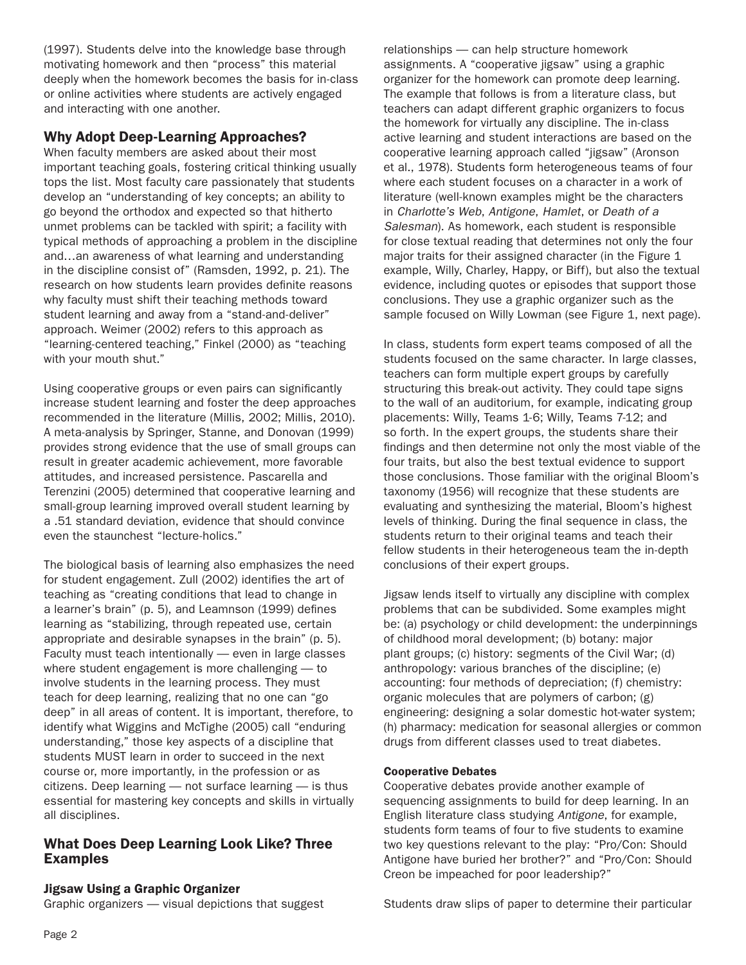(1997). Students delve into the knowledge base through motivating homework and then "process" this material deeply when the homework becomes the basis for in-class or online activities where students are actively engaged and interacting with one another.

# Why Adopt Deep-Learning Approaches?

When faculty members are asked about their most important teaching goals, fostering critical thinking usually tops the list. Most faculty care passionately that students develop an "understanding of key concepts; an ability to go beyond the orthodox and expected so that hitherto unmet problems can be tackled with spirit; a facility with typical methods of approaching a problem in the discipline and…an awareness of what learning and understanding in the discipline consist of" (Ramsden, 1992, p. 21). The research on how students learn provides definite reasons why faculty must shift their teaching methods toward student learning and away from a "stand-and-deliver" approach. Weimer (2002) refers to this approach as "learning-centered teaching," Finkel (2000) as "teaching with your mouth shut."

Using cooperative groups or even pairs can significantly increase student learning and foster the deep approaches recommended in the literature (Millis, 2002; Millis, 2010). A meta-analysis by Springer, Stanne, and Donovan (1999) provides strong evidence that the use of small groups can result in greater academic achievement, more favorable attitudes, and increased persistence. Pascarella and Terenzini (2005) determined that cooperative learning and small-group learning improved overall student learning by a .51 standard deviation, evidence that should convince even the staunchest "lecture-holics."

The biological basis of learning also emphasizes the need for student engagement. Zull (2002) identifies the art of teaching as "creating conditions that lead to change in a learner's brain" (p. 5), and Leamnson (1999) defines learning as "stabilizing, through repeated use, certain appropriate and desirable synapses in the brain" (p. 5). Faculty must teach intentionally — even in large classes where student engagement is more challenging — to involve students in the learning process. They must teach for deep learning, realizing that no one can "go deep" in all areas of content. It is important, therefore, to identify what Wiggins and McTighe (2005) call "enduring understanding," those key aspects of a discipline that students MUST learn in order to succeed in the next course or, more importantly, in the profession or as citizens. Deep learning — not surface learning — is thus essential for mastering key concepts and skills in virtually all disciplines.

## What Does Deep Learning Look Like? Three Examples

## Jigsaw Using a Graphic Organizer

Graphic organizers — visual depictions that suggest

relationships — can help structure homework assignments. A "cooperative jigsaw" using a graphic organizer for the homework can promote deep learning. The example that follows is from a literature class, but teachers can adapt different graphic organizers to focus the homework for virtually any discipline. The in-class active learning and student interactions are based on the cooperative learning approach called "jigsaw" (Aronson et al., 1978). Students form heterogeneous teams of four where each student focuses on a character in a work of literature (well-known examples might be the characters in Charlotte's Web, Antigone, Hamlet, or Death of a Salesman). As homework, each student is responsible for close textual reading that determines not only the four major traits for their assigned character (in the Figure 1 example, Willy, Charley, Happy, or Biff), but also the textual evidence, including quotes or episodes that support those conclusions. They use a graphic organizer such as the sample focused on Willy Lowman (see Figure 1, next page).

In class, students form expert teams composed of all the students focused on the same character. In large classes, teachers can form multiple expert groups by carefully structuring this break-out activity. They could tape signs to the wall of an auditorium, for example, indicating group placements: Willy, Teams 1-6; Willy, Teams 7-12; and so forth. In the expert groups, the students share their findings and then determine not only the most viable of the four traits, but also the best textual evidence to support those conclusions. Those familiar with the original Bloom's taxonomy (1956) will recognize that these students are evaluating and synthesizing the material, Bloom's highest levels of thinking. During the final sequence in class, the students return to their original teams and teach their fellow students in their heterogeneous team the in-depth conclusions of their expert groups.

Jigsaw lends itself to virtually any discipline with complex problems that can be subdivided. Some examples might be: (a) psychology or child development: the underpinnings of childhood moral development; (b) botany: major plant groups; (c) history: segments of the Civil War; (d) anthropology: various branches of the discipline; (e) accounting: four methods of depreciation; (f) chemistry: organic molecules that are polymers of carbon; (g) engineering: designing a solar domestic hot-water system; (h) pharmacy: medication for seasonal allergies or common drugs from different classes used to treat diabetes.

#### Cooperative Debates

Cooperative debates provide another example of sequencing assignments to build for deep learning. In an English literature class studying Antigone, for example, students form teams of four to five students to examine two key questions relevant to the play: "Pro/Con: Should Antigone have buried her brother?" and "Pro/Con: Should Creon be impeached for poor leadership?"

Students draw slips of paper to determine their particular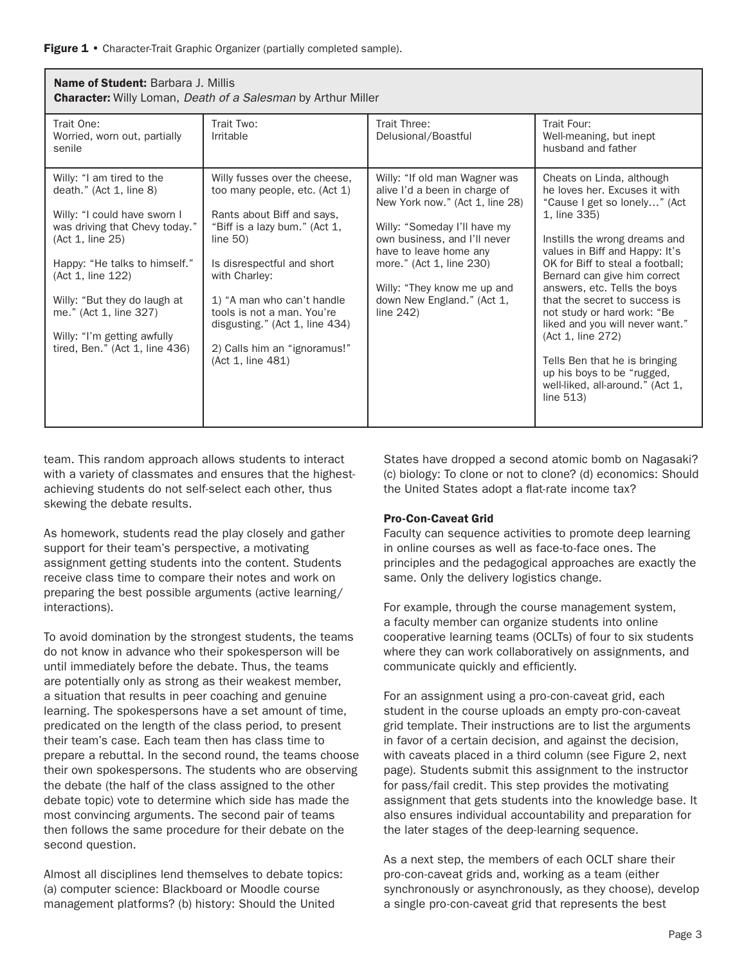Figure 1 • Character-Trait Graphic Organizer (partially completed sample).

| <b>Name of Student: Barbara J. Millis</b><br><b>Character:</b> Willy Loman, <i>Death of a Salesman</i> by Arthur Miller                                                                                                                                                                                                       |                                                                                                                                                                                                                                                                                                                                                |                                                                                                                                                                                                                                                                                                      |                                                                                                                                                                                                                                                                                                                                                                                                                                                                                                                              |  |
|-------------------------------------------------------------------------------------------------------------------------------------------------------------------------------------------------------------------------------------------------------------------------------------------------------------------------------|------------------------------------------------------------------------------------------------------------------------------------------------------------------------------------------------------------------------------------------------------------------------------------------------------------------------------------------------|------------------------------------------------------------------------------------------------------------------------------------------------------------------------------------------------------------------------------------------------------------------------------------------------------|------------------------------------------------------------------------------------------------------------------------------------------------------------------------------------------------------------------------------------------------------------------------------------------------------------------------------------------------------------------------------------------------------------------------------------------------------------------------------------------------------------------------------|--|
| Trait One:<br>Worried, worn out, partially<br>senile                                                                                                                                                                                                                                                                          | Trait Two:<br>Irritable                                                                                                                                                                                                                                                                                                                        | Trait Three:<br>Delusional/Boastful                                                                                                                                                                                                                                                                  | Trait Four:<br>Well-meaning, but inept<br>husband and father                                                                                                                                                                                                                                                                                                                                                                                                                                                                 |  |
| Willy: "I am tired to the<br>death." $(Act 1, line 8)$<br>Willy: "I could have sworn I<br>was driving that Chevy today."<br>(Act 1, line 25)<br>Happy: "He talks to himself."<br>(Act 1, line 122)<br>Willy: "But they do laugh at<br>me." (Act 1, line 327)<br>Willy: "I'm getting awfully<br>tired, Ben." (Act 1, line 436) | Willy fusses over the cheese,<br>too many people, etc. (Act 1)<br>Rants about Biff and says,<br>"Biff is a lazy bum." (Act 1,<br>line $50$ )<br>Is disrespectful and short<br>with Charley:<br>1) "A man who can't handle<br>tools is not a man. You're<br>disgusting." (Act 1, line 434)<br>2) Calls him an "ignoramus!"<br>(Act 1, line 481) | Willy: "If old man Wagner was<br>alive I'd a been in charge of<br>New York now." (Act 1, line 28)<br>Willy: "Someday I'll have my<br>own business, and I'll never<br>have to leave home any<br>more." (Act 1, line 230)<br>Willy: "They know me up and<br>down New England." (Act 1,<br>line $242$ ) | Cheats on Linda, although<br>he loves her. Excuses it with<br>"Cause I get so lonely" (Act<br>1, line 335)<br>Instills the wrong dreams and<br>values in Biff and Happy: It's<br>OK for Biff to steal a football;<br>Bernard can give him correct<br>answers, etc. Tells the boys<br>that the secret to success is<br>not study or hard work: "Be<br>liked and you will never want."<br>(Act 1, line 272)<br>Tells Ben that he is bringing<br>up his boys to be "rugged,<br>well-liked, all-around." (Act 1,<br>line $513$ ) |  |

team. This random approach allows students to interact with a variety of classmates and ensures that the highestachieving students do not self-select each other, thus skewing the debate results.

As homework, students read the play closely and gather support for their team's perspective, a motivating assignment getting students into the content. Students receive class time to compare their notes and work on preparing the best possible arguments (active learning/ interactions).

To avoid domination by the strongest students, the teams do not know in advance who their spokesperson will be until immediately before the debate. Thus, the teams are potentially only as strong as their weakest member, a situation that results in peer coaching and genuine learning. The spokespersons have a set amount of time, predicated on the length of the class period, to present their team's case. Each team then has class time to prepare a rebuttal. In the second round, the teams choose their own spokespersons. The students who are observing the debate (the half of the class assigned to the other debate topic) vote to determine which side has made the most convincing arguments. The second pair of teams then follows the same procedure for their debate on the second question.

Almost all disciplines lend themselves to debate topics: (a) computer science: Blackboard or Moodle course management platforms? (b) history: Should the United

States have dropped a second atomic bomb on Nagasaki? (c) biology: To clone or not to clone? (d) economics: Should the United States adopt a flat-rate income tax?

#### Pro-Con-Caveat Grid

Faculty can sequence activities to promote deep learning in online courses as well as face-to-face ones. The principles and the pedagogical approaches are exactly the same. Only the delivery logistics change.

For example, through the course management system, a faculty member can organize students into online cooperative learning teams (OCLTs) of four to six students where they can work collaboratively on assignments, and communicate quickly and efficiently.

For an assignment using a pro-con-caveat grid, each student in the course uploads an empty pro-con-caveat grid template. Their instructions are to list the arguments in favor of a certain decision, and against the decision, with caveats placed in a third column (see Figure 2, next page). Students submit this assignment to the instructor for pass/fail credit. This step provides the motivating assignment that gets students into the knowledge base. It also ensures individual accountability and preparation for the later stages of the deep-learning sequence.

As a next step, the members of each OCLT share their pro-con-caveat grids and, working as a team (either synchronously or asynchronously, as they choose), develop a single pro-con-caveat grid that represents the best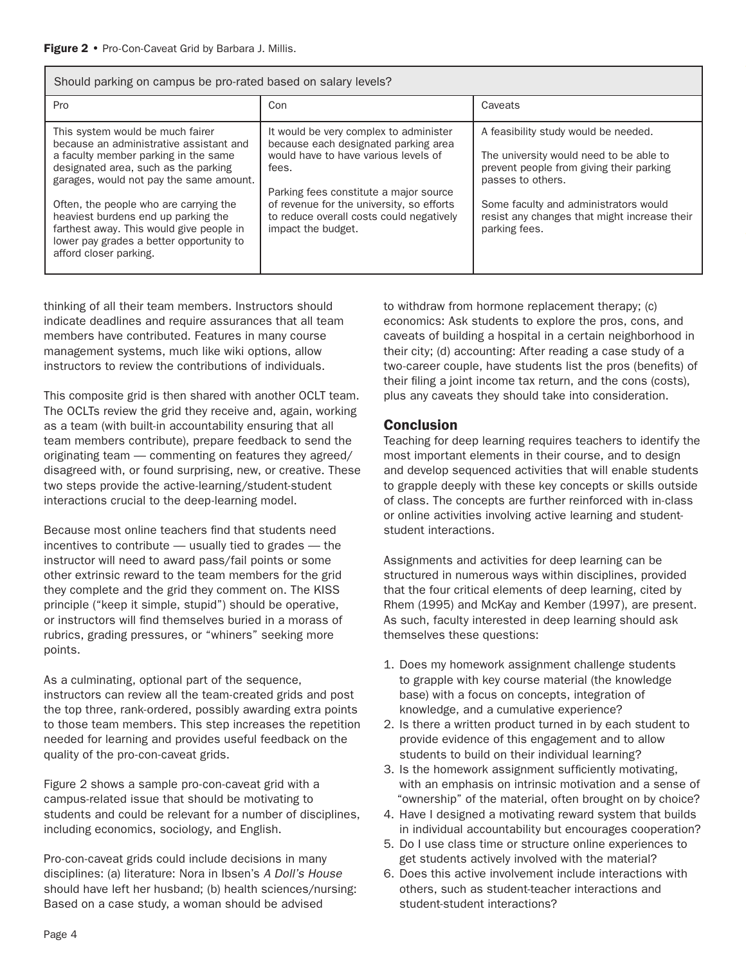| Should parking on campus be pro-rated based on salary levels?                                                                                                                                                                                                                                                                                                                                             |                                                                                                                                                                                                                                                                                          |                                                                                                                                                                                                                                                            |  |  |
|-----------------------------------------------------------------------------------------------------------------------------------------------------------------------------------------------------------------------------------------------------------------------------------------------------------------------------------------------------------------------------------------------------------|------------------------------------------------------------------------------------------------------------------------------------------------------------------------------------------------------------------------------------------------------------------------------------------|------------------------------------------------------------------------------------------------------------------------------------------------------------------------------------------------------------------------------------------------------------|--|--|
| Pro                                                                                                                                                                                                                                                                                                                                                                                                       | Con                                                                                                                                                                                                                                                                                      | Caveats                                                                                                                                                                                                                                                    |  |  |
| This system would be much fairer<br>because an administrative assistant and<br>a faculty member parking in the same<br>designated area, such as the parking<br>garages, would not pay the same amount.<br>Often, the people who are carrying the<br>heaviest burdens end up parking the<br>farthest away. This would give people in<br>lower pay grades a better opportunity to<br>afford closer parking. | It would be very complex to administer<br>because each designated parking area<br>would have to have various levels of<br>fees.<br>Parking fees constitute a major source<br>of revenue for the university, so efforts<br>to reduce overall costs could negatively<br>impact the budget. | A feasibility study would be needed.<br>The university would need to be able to<br>prevent people from giving their parking<br>passes to others.<br>Some faculty and administrators would<br>resist any changes that might increase their<br>parking fees. |  |  |

thinking of all their team members. Instructors should indicate deadlines and require assurances that all team members have contributed. Features in many course management systems, much like wiki options, allow instructors to review the contributions of individuals.

This composite grid is then shared with another OCLT team. The OCLTs review the grid they receive and, again, working as a team (with built-in accountability ensuring that all team members contribute), prepare feedback to send the originating team — commenting on features they agreed/ disagreed with, or found surprising, new, or creative. These two steps provide the active-learning/student-student interactions crucial to the deep-learning model.

Because most online teachers find that students need incentives to contribute — usually tied to grades — the instructor will need to award pass/fail points or some other extrinsic reward to the team members for the grid they complete and the grid they comment on. The KISS principle ("keep it simple, stupid") should be operative, or instructors will find themselves buried in a morass of rubrics, grading pressures, or "whiners" seeking more points.

As a culminating, optional part of the sequence, instructors can review all the team-created grids and post the top three, rank-ordered, possibly awarding extra points to those team members. This step increases the repetition needed for learning and provides useful feedback on the quality of the pro-con-caveat grids.

Figure 2 shows a sample pro-con-caveat grid with a campus-related issue that should be motivating to students and could be relevant for a number of disciplines, including economics, sociology, and English.

Pro-con-caveat grids could include decisions in many disciplines: (a) literature: Nora in Ibsen's A Doll's House should have left her husband; (b) health sciences/nursing: Based on a case study, a woman should be advised

to withdraw from hormone replacement therapy; (c) economics: Ask students to explore the pros, cons, and caveats of building a hospital in a certain neighborhood in their city; (d) accounting: After reading a case study of a two-career couple, have students list the pros (benefits) of their filing a joint income tax return, and the cons (costs), plus any caveats they should take into consideration.

# Conclusion

Teaching for deep learning requires teachers to identify the most important elements in their course, and to design and develop sequenced activities that will enable students to grapple deeply with these key concepts or skills outside of class. The concepts are further reinforced with in-class or online activities involving active learning and studentstudent interactions.

Assignments and activities for deep learning can be structured in numerous ways within disciplines, provided that the four critical elements of deep learning, cited by Rhem (1995) and McKay and Kember (1997), are present. As such, faculty interested in deep learning should ask themselves these questions:

- 1. Does my homework assignment challenge students to grapple with key course material (the knowledge base) with a focus on concepts, integration of knowledge, and a cumulative experience?
- 2. Is there a written product turned in by each student to provide evidence of this engagement and to allow students to build on their individual learning?
- 3. Is the homework assignment sufficiently motivating, with an emphasis on intrinsic motivation and a sense of "ownership" of the material, often brought on by choice?
- 4. Have I designed a motivating reward system that builds in individual accountability but encourages cooperation?
- 5. Do I use class time or structure online experiences to get students actively involved with the material?
- 6. Does this active involvement include interactions with others, such as student-teacher interactions and student-student interactions?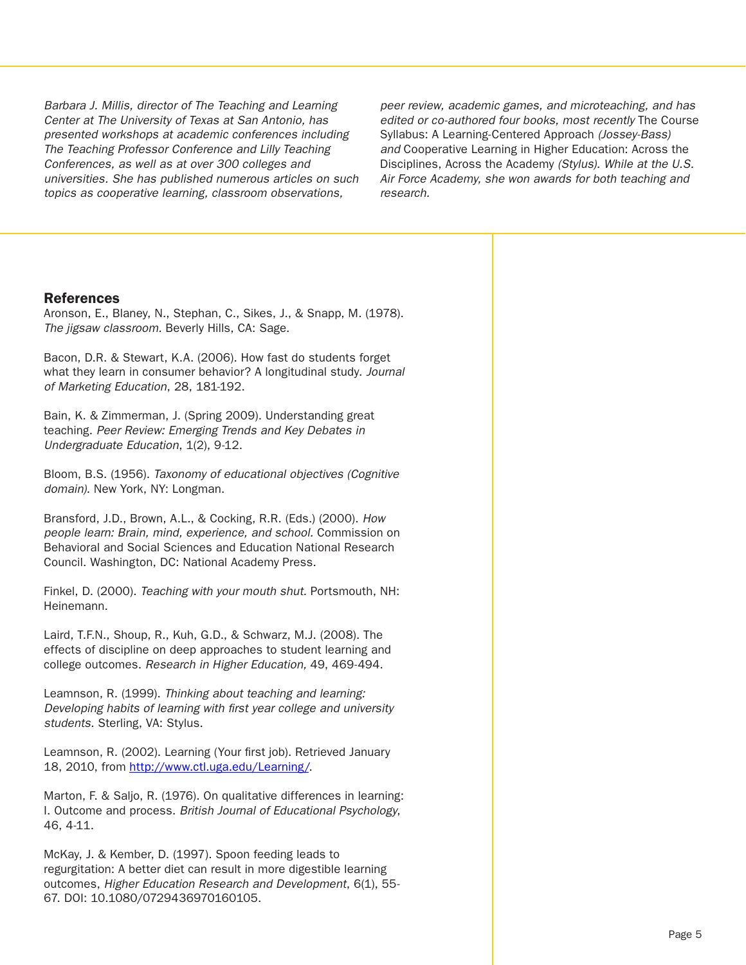Barbara J. Millis, director of The Teaching and Learning Center at The University of Texas at San Antonio, has presented workshops at academic conferences including The Teaching Professor Conference and Lilly Teaching Conferences, as well as at over 300 colleges and universities. She has published numerous articles on such topics as cooperative learning, classroom observations,

peer review, academic games, and microteaching, and has edited or co-authored four books, most recently The Course Syllabus: A Learning-Centered Approach (Jossey-Bass) and Cooperative Learning in Higher Education: Across the Disciplines, Across the Academy (Stylus). While at the U.S. Air Force Academy, she won awards for both teaching and research.

### References

Aronson, E., Blaney, N., Stephan, C., Sikes, J., & Snapp, M. (1978). The jigsaw classroom. Beverly Hills, CA: Sage.

Bacon, D.R. & Stewart, K.A. (2006). How fast do students forget what they learn in consumer behavior? A longitudinal study. *Journal* of Marketing Education, 28, 181-192.

Bain, K. & Zimmerman, J. (Spring 2009). Understanding great teaching. Peer Review: Emerging Trends and Key Debates in Undergraduate Education, 1(2), 9-12.

Bloom, B.S. (1956). Taxonomy of educational objectives (Cognitive domain). New York, NY: Longman.

Bransford, J.D., Brown, A.L., & Cocking, R.R. (Eds.) (2000). How people learn: Brain, mind, experience, and school. Commission on Behavioral and Social Sciences and Education National Research Council. Washington, DC: National Academy Press.

Finkel, D. (2000). Teaching with your mouth shut. Portsmouth, NH: Heinemann.

Laird, T.F.N., Shoup, R., Kuh, G.D., & Schwarz, M.J. (2008). The effects of discipline on deep approaches to student learning and college outcomes. Research in Higher Education, 49, 469-494.

Leamnson, R. (1999). Thinking about teaching and learning: Developing habits of learning with first year college and university students. Sterling, VA: Stylus.

Leamnson, R. (2002). Learning (Your first job). Retrieved January 18, 2010, from [http://www.ctl.uga.edu/Learning/.](http://www.ctl.uga.edu/Learning/)

Marton, F. & Saljo, R. (1976). On qualitative differences in learning: I. Outcome and process. British Journal of Educational Psychology, 46, 4-11.

McKay, J. & Kember, D. (1997). Spoon feeding leads to regurgitation: A better diet can result in more digestible learning outcomes, Higher Education Research and Development, 6(1), 55-67. DOI: 10.1080/0729436970160105.